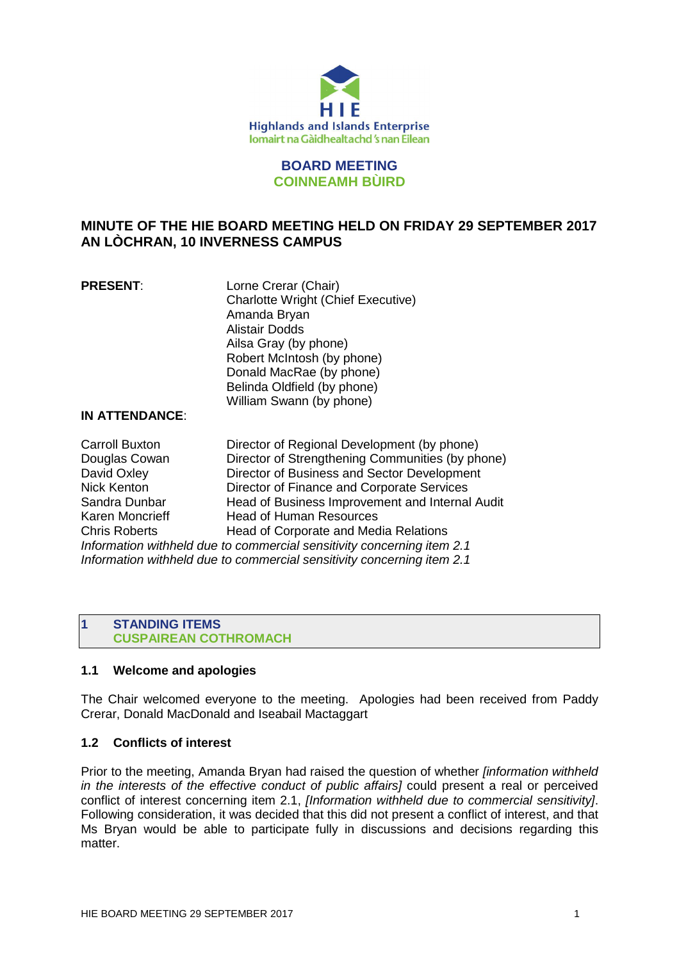

# **BOARD MEETING COINNEAMH BÙIRD**

# **MINUTE OF THE HIE BOARD MEETING HELD ON FRIDAY 29 SEPTEMBER 2017 AN LÒCHRAN, 10 INVERNESS CAMPUS**

| <b>PRESENT:</b> | Lorne Crerar (Chair)                      |
|-----------------|-------------------------------------------|
|                 | <b>Charlotte Wright (Chief Executive)</b> |
|                 | Amanda Bryan                              |
|                 | <b>Alistair Dodds</b>                     |
|                 | Ailsa Gray (by phone)                     |
|                 | Robert McIntosh (by phone)                |
|                 | Donald MacRae (by phone)                  |
|                 | Belinda Oldfield (by phone)               |
|                 | William Swann (by phone)                  |

#### **IN ATTENDANCE**:

Carroll Buxton Director of Regional Development (by phone) Douglas Cowan Director of Strengthening Communities (by phone) David Oxley **Director of Business and Sector Development** Nick Kenton Director of Finance and Corporate Services Sandra Dunbar Head of Business Improvement and Internal Audit Karen Moncrieff Head of Human Resources Chris Roberts Head of Corporate and Media Relations *Information withheld due to commercial sensitivity concerning item 2.1 Information withheld due to commercial sensitivity concerning item 2.1*

# **1 STANDING ITEMS CUSPAIREAN COTHROMACH**

# **1.1 Welcome and apologies**

The Chair welcomed everyone to the meeting. Apologies had been received from Paddy Crerar, Donald MacDonald and Iseabail Mactaggart

# **1.2 Conflicts of interest**

Prior to the meeting, Amanda Bryan had raised the question of whether *[information withheld in the interests of the effective conduct of public affairs]* could present a real or perceived conflict of interest concerning item 2.1, *[Information withheld due to commercial sensitivity]*. Following consideration, it was decided that this did not present a conflict of interest, and that Ms Bryan would be able to participate fully in discussions and decisions regarding this matter.